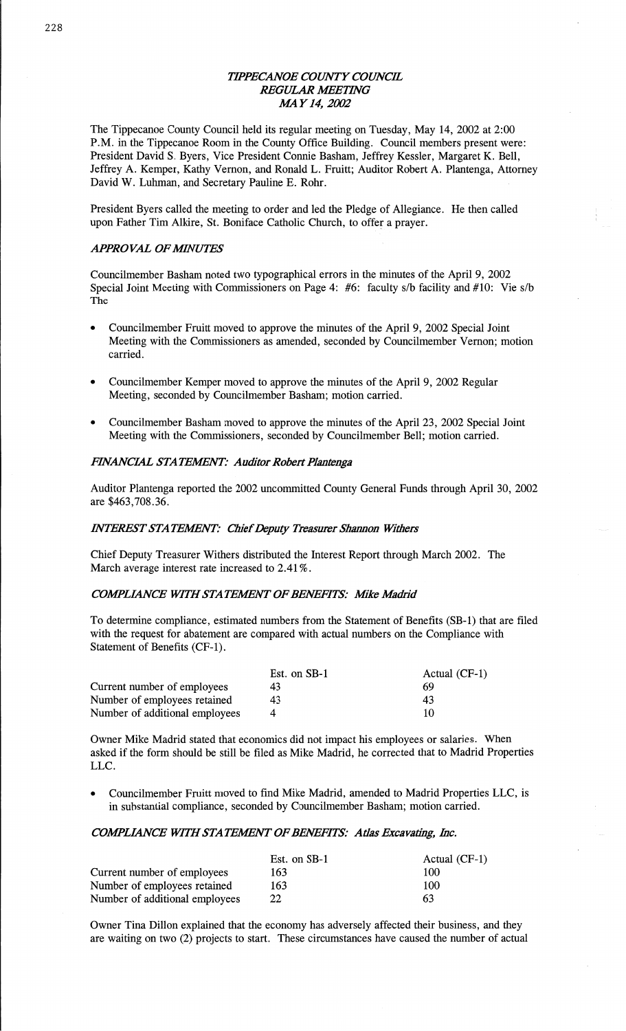# *TH'PECANOE COUNTY COWC'H. REGULAR WETHVG MAY 14, 2002*

The Tippecanoe County Council held its regular meeting on Tuesday, May 14, 2002 at 2:00 **P.M.** in the Tippecanoe Room in the County Office Building. Council members present were: President **David** S. Byers, Vice President Connie Basham, Jeffrey Kessler, Margaret K. Bell, Jeffrey A. Kemper, Kathy Vernon, and Ronald L. Fruitt; Auditor Robert A. Plantenga, Attorney David W. Luhman, and Secretary Pauline E. Rohr.

President Byers called the meeting to order and led the Pledge of Allegiance. He then called upon Father Tim Alkire, St. Boniface Catholic Church, to offer a prayer.

# **APPROVAL OF MINUTES**

Councilmember Basham noted two typographical errors in the **minutes** of the April 9, 2002 Special Joint Meeting with Commissioners on **Page** 4: #6: faculty s/b facility and #10: Vie s/b The

- **0** Councilmember Fruitt moved to approve the minutes of the **April** 9, 2002 Special Joint Meeting with the Commissioners as amended, **seconded** by Councilmember Vernon; motion carried.
- **0** Councilmember Kemper moved to approve the minutes of the April 9, 2002 Regular Meeting, seconded by Councilmember Basham; motion carried.
- **0** Councilmember **Basham** moved to approve the minutes of the April 23, 2002 Special Joint Meeting with the Commissioners, seconded by Councilmember Bell; **motion** carried.

### *FHVANCML* STA *JEWENT. Auditor Robert Planteuga*

Auditor Plantenga reported the 2002 **uncommitted** County General Funds through April 30, 2002 are \$463,708.36.

#### *HNTEREST STATEMENT: Chief Deputy Treasurer Shannon Withers*

Chief Deputy Treasurer Withers distributed the Interest Report through March 2002. The **March** average interest rate increased to 2.41%.

#### *COWLIANCE WHY-ISTA MIMENT* 0F *BENEFITS:* Mke *Maddd*

To determine compliance, estimated numbers from the Statement of Benefits (SB-1). that are filed with the request for abatement are compared with actual numbers on the Compliance with Statement of Benefits (CF-1).

|                                | Est. on SB-1 | Actual $(CF-1)$ |
|--------------------------------|--------------|-----------------|
| Current number of employees    | 43           | 69              |
| Number of employees retained   | 43           | 43              |
| Number of additional employees |              | 10              |

Owner Mike Madrid stated that economics did not **impact** his employees or **salaries.** When asked if the form should be still be filed as Mike Madrid, he corrected that to Madrid Properties **LLC.** 

**0** Councilmember Fruitt moved to find Mike Madrid, amended to Madrid Properties LLC, is in **substantial** compliance, seconded by Councilmember **Basham;** motion carried.

#### *COMLMNCE WITH* STA *YEWNT OFBENEHZS': Atlas* Excavating, *Inc.*

|                                | Est. on SB-1 | Actual (CF-1) |
|--------------------------------|--------------|---------------|
| Current number of employees    | 163          | 100           |
| Number of employees retained   | 163          | 100           |
| Number of additional employees | 22           | 63            |

Owner Tina Dillon explained that the economy has adversely affected **their** business, and they are waiting on two (2) projects to start. These circumstances have caused the number of actual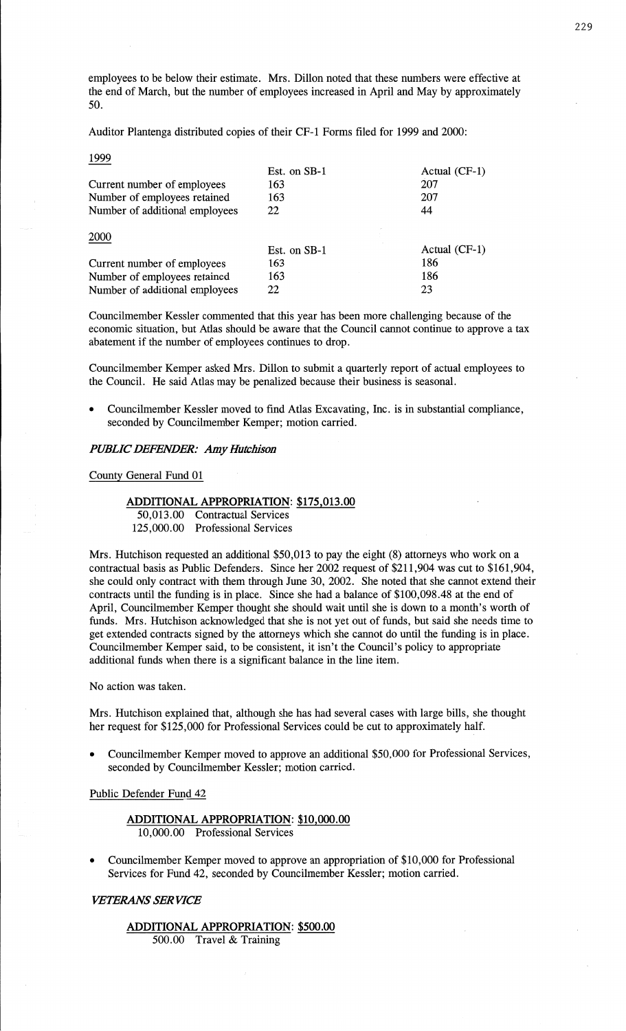employees to be below their estimate. Mrs. Dillon noted that these numbers were effective at the end of March, but the number of employees increased in April and May by approximately 50.

Auditor Plantenga distributed copies of their CF-1 Forms filed for 1999 and 2000:<br>1999

| Est. on SB-1 | Actual (CF-1)   |
|--------------|-----------------|
| 163          | 207             |
| 163          | 207             |
| 22           | 44              |
|              |                 |
| Est. on SB-1 | Actual $(CF-1)$ |
| 163          | 186             |
| 163          | 186             |
| 22           | 23              |
|              |                 |

Councilmember Kessler commented **that** this year has been more challenging because of the economic situation, but Atlas **should** be aware **that** the Council **cannot** continue to approve a tax abatement if the number of employees continues to drop.

Councilmember Kemper asked Mrs. Dillon to submit a quarterly report of actual employees to the Council. He said Atlas may be penalized because their business is **seasonal.** 

**o** Councilmember Kessler moved to find **Atlas** Excavating, Inc. is in substantial **compliance,**  seconded by Councilmember Kemper; motion carried.

#### *PUBLIC DEFENDER:* Amy *Hutchison*

**Conny!** General Fund 01

## **ADDITIONAL APPROPRIATION: \$175,013.00**

50,013.00 Contractual Services 125,000.00 Professional Services

Mrs. **Hutchison** requested an additional \$50,013 to pay the eight (8) attorneys who work on a contractual basis as Public Defenders. Since her 2002 request of \$211,904 was cut to \$161,904, she could only contract with them through June 30, 2002. She noted **that** she cannot extend **their**  contracts until the funding is in place. Since she had a balance of \$100,098.48 at the end of April, Councilmember Kemper thought she should wait until she is down to a month's worth of funds. **Mrs.** Hutchison acknowledged **that** she is not yet out of funds, but said she needs time to get extended contracts signed by the attorneys which she cannot do until the funding is in place. Councilmember Kemper said, to be consistent, it isn't the **Council's** policy to appropriate additional funds when there is a significant balance in the line item.

No action was **taken.** 

Mrs. Hutchison explained that, although she has had several **cases** with large bills, she thought her request for \$125,000 for **Professional** Services could be cut to approximately half.

**0** Councilmember Kemper **moved** to approve an additional \$50,000 for Professional Services, seconded by Councilmember Kessler; motion carried.

#### Public Defender **Fund** 42

**ADDITIONAL APPROPRIATION:** \$10,000.00 10,000.00 Professional Services

**<sup>0</sup>**Councilmember Kemper moved to approve an appropriation of \$10,000 for Professional Services for Fund 42, seconded by Councilmember Kessler; **motion** carried.

#### *VETERANS* SER *VICE*

**ADDITIONAL APPROPRIATION:** \$500.00 500.00 Travel & **Training**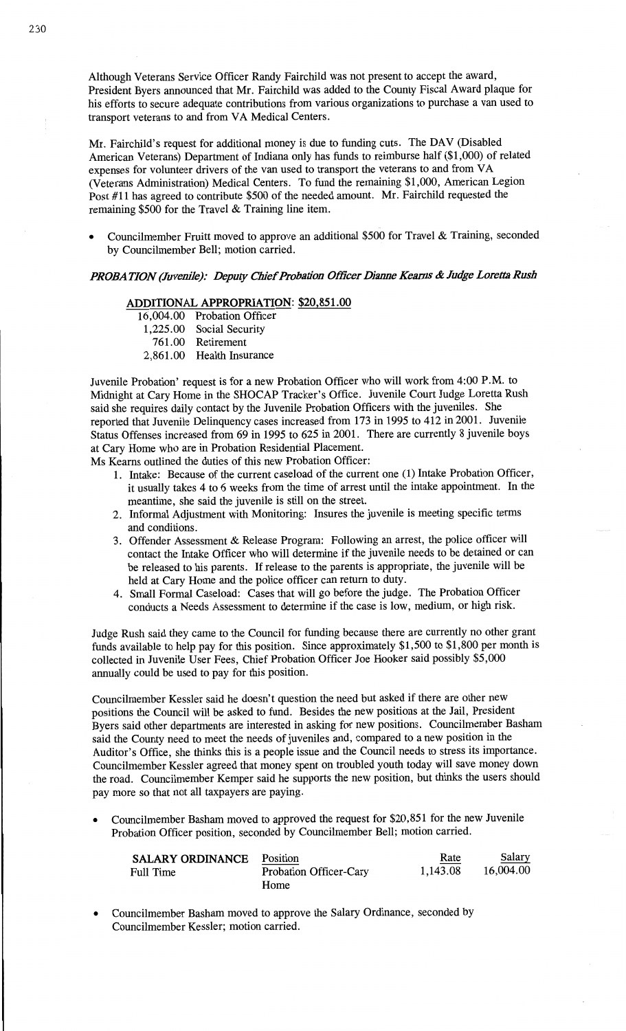Although Veterans Service Officer Randy Fairchild was not present to accept the award, President **Byers announced** that Mr. Fairchild was added to the **County Fiscal** Award plaque for his efforts to secure adequate contributions from various organizations to purchase a van used to transport veterans to and from VA Medical Centers.

Mr. Fairchild's request for additional money is due to funding cuts. The DAV (Disabled American Veterans) Department of **Indiana** only has **funds** to reimburse half (\$1,000) of related **expenses** for volunteer drivers of the van used to **transport** the veterans to and from VA (Veterans Administration) Medical Centers. To fund the remaining \$1,000, **American** Legion Post #11 has agreed to contribute \$500 of the needed amount. Mr. Fairchild requested the remaining \$500 for the Travel & Training line **item.** 

**-** Councihnember Pruitt moved to approve an **additional** \$560 for Travel & **Training,** seconded by Councilmember Bell; **motion** carried.

## *PROBATION (Juvenile): Deputy Chief Probation Officer Dianne Kearns & Judge Loretta Rush*

# **ADDITIONAL APPROPRIATION: \$20,851.00**

- 16,004.00 Probation Officer
- 1,225.00 Social Security
- 761 .00 Retirement
- 2,861.00 **Health** Insurance

Juvenile Probation' request is for **a** new Probation Officer who will work from 4:00 RM. to Midnight at Cary Home in the SHOCAP Tracker's Office. Juvenile Court Judge Loretta **Rush**  said she requires daily contact by the Juvenile Probation Officers with the juveniles. She reported that Juvenile Delinquency cases increased from 173 in 1995 to 412 in 2001. Juvenile Status **Offenses** increased from 69 in 1995 to 625 in 2001. There are currently 8 **juvenile** boys at Cary **Home** who are in **Probation** Residential **Placement.** 

Ms Kearns outlined the duties of **this** new Probation Officer:

- 1. Intake: Because of the current caseload of the current one (1) Intake Probation Officer, it usually **takes 4** to 6 weeks from the time of arrest until the intake **appointment.** In the meantime, she **said** the juvenile is still on the street.
- 2. Informal Adjustment with Monitoring: Insures the juvenile is meeting specific terms and **conditions.**
- 3. **Offender Assessment** & Release Program: Following an arrest, the **police** officer will contact\_the Intake Officer who **will** determine if the juvenile needs to be detained or can be released to his parents. If release to the parents is appropriate, the juvenile will be held at Cary **Home** and the police officer can return to duty.
- 4. **Small** Formal Caseload: Cases that will go before the judge. The Probation **Officer**  conducts a Needs Assessment to determine if the case is low, **medium,** or high risk.

Judge **Rush said** they **came** to the Council for funding because there are currently no **other** gran<sup>t</sup> funds available to help pay for this position. Since approximately \$1,500 to \$1,800 per month is collected in Juvenile User Fees, Chief **Probation** Officer Joe **Hooker said** possibly \$5,000 annually could be used to pay for **this position.** 

Councilmember Kessler said he doesn't question the need but asked if there are other new positions the Council **will** be asked to **fund.** Besides the new **positions** at the Jail, President Byers said other departments are interested in **asking** for new **positions.** Councilmember Basham said the County need to meet the **needs** of juveniles and, compared to a new position in the **Auditor's** Office, she **thinks this** is **a** people issue and the **Council** needs to stress its importance. Councilmember Kessler agreed that money spent on troubled youth today will save money down the road. Councilmember Kemper said he supports the new position, but thinks the users should pay more so that not all taxpayers are paying.

**0 Councilmember** Basham moved to **approved** the request for \$20,851 for the new Juvenile Probation Officer position, seconded by Councilmember Bell; motion carried.

| <b>SALARY ORDINANCE</b> | Position                      | Rate     | Salary    |
|-------------------------|-------------------------------|----------|-----------|
| Full Time               | <b>Probation Officer-Cary</b> | 1,143.08 | 16.004.00 |
|                         | Home                          |          |           |

**0 Councilmember Basham** moved to approve the Salary **Ordinance,** seconded by Councilmember Kessler; **motion** carried.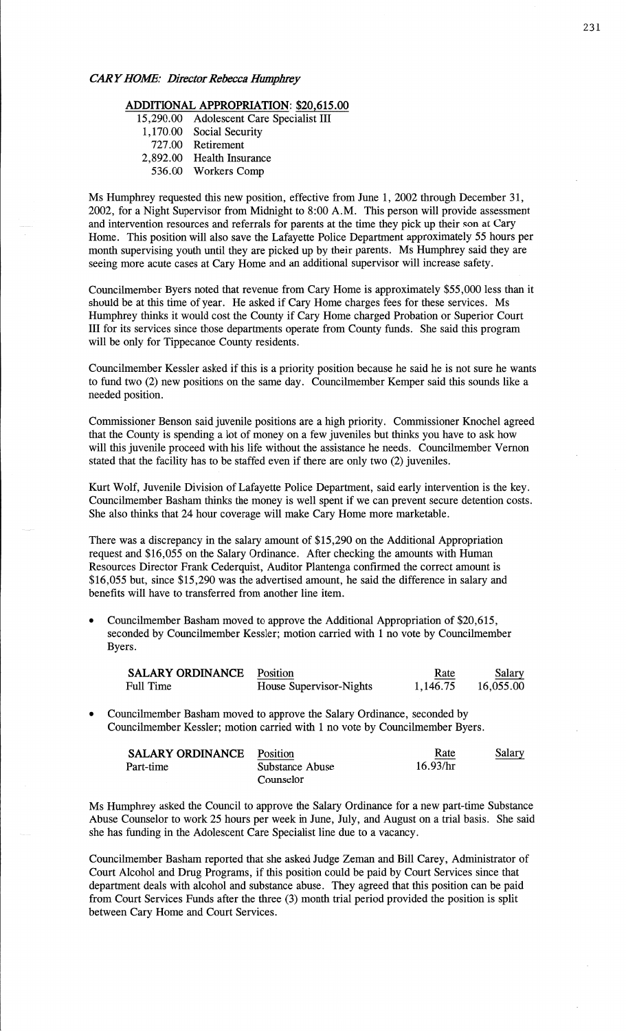# **ADDITIONAL APPROPRIATION:** \$20,615.00

- 15,290.00 Adolescent Care Specialist III **1,170.00** Social Security
	-
	- **727.00** Retirement
- 2,892.00 Health Insurance
	- 536.00 Workers Comp

Ms Humphrey requested this new **position,** effective from June 1, 2002 through December 31, 2002, for **a** Night Supervisor from Midnight to 8:00 **AM. This** person will provide assessment and intervention resources and referrals for parents at the time they pick up their son at Cary **Home.** This position will also save the Lafayette Police Department approximately 55 hours per **month** supervising youth until they are picked up by their parents. Ms Humphrey said they are seeing **more** acute cases at Cary Home and an additional supervisor will increase safety.

Councilmember Byers noted that revenue from Cary Home is approximately \$55,000 less than it should be at this **time** of year. He **asked** if Cary **Home** charges fees for these services. Ms Humphrey **thinks** it would cost the County if Cary Home charged Probation or Superior Court III for its services since those departments operate from County **funds.** She **said** this program will be only for Tippecanoe County residents.

Councilmember Kessler asked if this is **a** priority position because he **said** he is not sure he wants to fund two (2) new positions on the **same** day. Councilmember Kemper said this sounds like **<sup>a</sup>** needed position.

Commissioner **Benson said** juvenile positions are a high priority. **Commissioner** Knochel agreed that the County is spending **a** lot of money on **a** few juveniles but thinks you **have** to ask how will this juvenile proceed with his **life** without the assistance he needs. Councilmember Vernon stated that the facility has to be staffed even if there are only two (2) juveniles.

Kurt Wolf, Juvenile **Division** of Lafayette Police Department, said early intervention is the key. Councilmember Basham thinks the money is well spent if we can prevent secure detention **costs.**  She also **thinks** that 24 hour coverage will make Cary Home more marketable.

There was **a** discrepancy in the salary amount of \$15,290 on the Additional Appropriation request and \$16,055 on the Salary Ordinance. After checking the amounts with Human Resources Director Frank Cederquist, Auditor Plantenga confirmed the correct amount is \$16,055 but, since \$15,290 was the advertised amount, he said the difference in salary and benefits will have to transferred from another line **item.** 

**0** Councilmember Basham moved to approve the Additional Appropriation of \$20,615, seconded by Councilmember Kessler; motion carried with **1** no vote by Councilmember Byers.

| SALARY ORDINANCE | Position                | Rate     | Salary    |
|------------------|-------------------------|----------|-----------|
| Full Time        | House Supervisor-Nights | 1.146.75 | 16.055.00 |

*0* Councilmember **Basham** moved to approve the Salary Ordinance, seconded by Councilmember Kessler; motion carried with **1** no vote by Councilmember Byers.

| <b>SALARY ORDINANCE</b> | Position        | Rate     | Salary |
|-------------------------|-----------------|----------|--------|
| Part-time               | Substance Abuse | 16.93/hr |        |
|                         | Counselor       |          |        |

Ms Humphrey asked the Council to approve the Salary Ordinance for a new part-time Substance Abuse Counselor to work 25 **hours** per week in June, July, and August on **a** trial **basis.** She said she has funding in the **Adolescent** Care Specialist line due to a vacancy.

Councilmember **Basham** reported that she asked Judge Zeman and Bill Carey, Administrator of Court Alcohol and Drug Programs, if this position could be paid by Court Services since that department **deals** with alcohol and substance abuse. They agreed **that** this position can be paid from Court **Services** Funds **after** the three (3) month trial period provided the position is split between Cary Home and Court Services.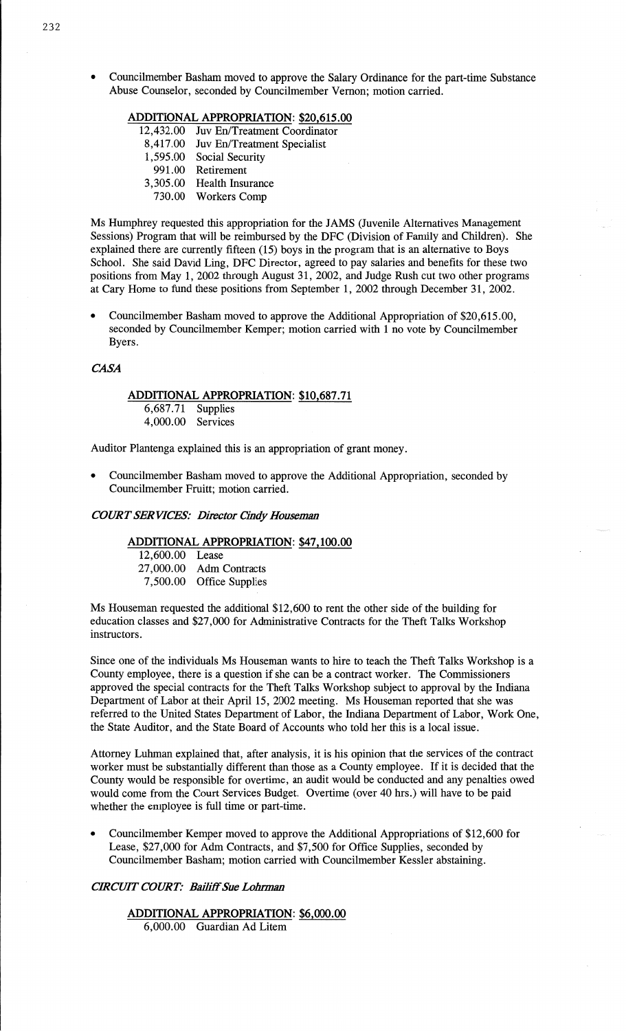**0** Councilmember Basham moved to approve the Salary Ordinance for the part-time Substance Abuse Counselor, seconded by Councilmember Vernon; motion carried.

## **ADDITIONAL APPROPRIATION:** \$20,615.00

- 12,432.00 Juv En/Treatment **Coordinator**
- 8,417.00 Juv **En/Treatment** Specialist
- 1,595.00 Social Security
- 991 .00 Retirement
- 3,305.00 **Health** Insurance
	- **730.00** Workers Comp

Ms Humphrey requested this appropriation for the JAMS (Juvenile Alternatives Management Sessions) Program that will be reimbursed by the DFC (Division of Family and Children). She explained there are currently fifteen (15) boys in the program that is an alternative to Boys School. She said **David** Ling, DFC Director, agreed to pay **salaries** and benefits for these two positions from May 1, 2002 through August 31, 2002, and Judge Rush out two other programs at Cary Home to **fund** these positions from September 1, 2002 through December 31, 2002.

**o** Councilmember **Basham** moved to approve the Additional Appropriation of \$20,615.00, seconded by Councilmember Kemper; motion carried with 1 no vote by Councilmember Byers.

# *CASA*

# **ADDITIONAL APPROPRIATION:** \$10,687.71 6,687 .71 Supplies

4,000.00 Services

Auditor Plantenga explained this is an appropriation of grant money.

**0** Councilmember **Basham moved** to approve the Additional Appropriation, seconded by Councilmember Fruitt; motion carried.

#### *COWT* SER *VICES:* Director *Cindy Houseman*

#### **ADDITIONAL APPROPRIATION:** \$47,100.00

12,600.00 Lease 27,000.00 Adm Contracts 7,500.00 Office Supplies

Ms Houseman requested the additional \$12,600 to rent the other side of the building for education classes and \$27,000 for **Administrative** Contracts for the Theft Talks **Workshop**  instructors.

Since one of the individuals Ms **Houseman** wants to hire to teach the **Theft** Talks Workshop is a County employee, there is a question if she can be **a** contract worker. The Commissioners approved the special contracts for the **Theft Talks** Workshop subject to approval by the Indiana Department of Labor at their April 15, 2002 meeting. Ms Houseman reported that she was referred to the United States Department of Labor, the **Indiana Department** of **Labor,** Work One, the **State** Auditor, and the State Board of Accounts who told her this is a local issue.

Attorney Luhman **explained** that, after analysis, it is his opinion **that** the services of the contract worker must be substantially different **than** those as a County employee. If it is decided that the County would be responsible for overtime, an audit would be conducted and any penalties owed would come from the Court Services Budget. Overtime (over 40 hrs.) will have to be **paid**  whether the employee is full time or part-time.

Councilmember Kemper moved to approve the Additional Appropriations of \$12,600 for Lease, \$27,000 for Adm Contracts, and \$7,500 for Office Supplies, seconded by Councilmember Basham; **motion** carried with Councilmember Kessler abstaining.

# *CRCUIT COURT: Bailiff* Sue *Lolmmn*

# **ADDITIONAL APPROPRIATION: \$6,000.00**

6,000.00 Guardian Ad Litem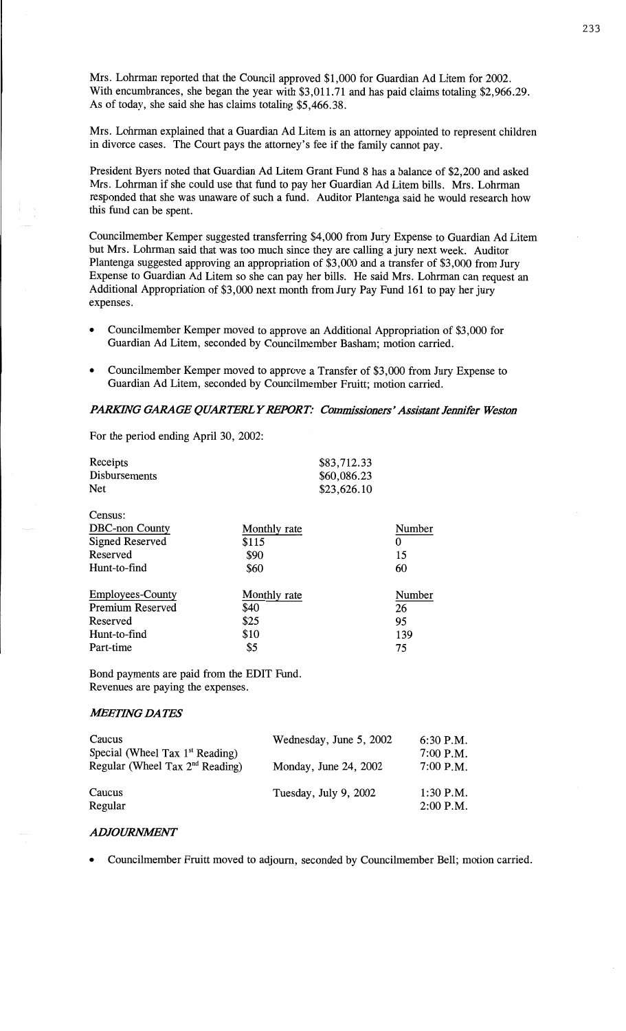Mrs. **Lohrman** reported **that** the Council **approved \$1,000** for **Guardian** Ad **Litem** for **2002.**  With encumbrances, she began the year with \$3,011.71 and has paid claims totaling **\$2,966.29.**  As of today, she **said** she has claims totaling \$5,466.38.

Mrs. Lehman **explained** that **a** Guardian Ad Litem is an attorney **appointed** to represent children in divorce **cases.** The Court **pays** the **attomey's** fee if the family **cannot pay.** 

President Byers **noted** that Guardian Ad Litem Grant Fund 8 has a balance of \$2,200 and **asked Mrs. Lohrman** if she could use **that** fund to pay her Guardian Ad Litem **bills. Mrs. Lohrman**  responded that she was unaware of **such** a **fimd.** Auditor Plantenga said he would research how this fund can be spent.

Councilmember Kemper suggested transferring \$4,000 from Jury Expense to Guardian Ad Litem but **Mrs. Lohrman said** that was too **much** since they are **calling** a jury **next** week. Auditor Plantenga suggested **approving** an appropriation of \$3,000 and **a** transfer of \$3,000 from Jury **Expense** to Guardian Ad Litem so she can pay her **bills.** He **said** Mrs. **Lohrman** can request an Additional Appropriation of \$3,000 **next month from** Jury Pay Fund 161 to pay her jury expenses.

- **<sup>0</sup>**Councilmember Kemper **moved** to approve an **Additional** Appropriation of \$3,000 for Guardian Ad Litem, seconded by Councilmember Basham; motion carried.
- **<sup>0</sup>Councilmember** Kemper **moved** to **approve** a Transfer of \$3,000 from Jury **Expense** to Guardian Ad Litem, seconded by Councilmember **Fruitt;** motion **carried.**

# *PARKING GARAGE QUARTERL Y REPORT: Commissioners' Assistant Jennifer Weston*

For the **period** ending **April** 30, 2002:

| Receipts<br><b>Disbursements</b><br><b>Net</b> |              | \$83,712.33<br>\$60,086.23<br>\$23,626.10 |        |
|------------------------------------------------|--------------|-------------------------------------------|--------|
| Census:                                        |              |                                           |        |
| <b>DBC-non County</b>                          | Monthly rate |                                           | Number |
| Signed Reserved                                | \$115        |                                           | 0      |
| Reserved                                       | \$90         |                                           | 15     |
| Hunt-to-find                                   | \$60         |                                           | 60     |
| <b>Employees-County</b>                        | Monthly rate |                                           | Number |
| <b>Premium Reserved</b>                        | \$40         |                                           | 26     |
| Reserved                                       | \$25         |                                           | 95     |
| Hunt-to-find                                   | \$10         |                                           | 139    |
| Part-time                                      | \$5          |                                           | 75     |

**Bond** payments are paid from the **EDIT** Fund. **Revenues** are paying the **expenses.** 

## *WETHVG* DA TES

| Caucus<br>Special (Wheel Tax $1st$ Reading) | Wednesday, June 5, 2002 | $6:30$ P.M.<br>$7:00$ P.M. |
|---------------------------------------------|-------------------------|----------------------------|
| Regular (Wheel Tax $2nd$ Reading)           | Monday, June 24, 2002   | $7:00$ P.M.                |
| Caucus<br>Regular                           | Tuesday, July 9, 2002   | $1:30$ P.M.<br>$2:00$ P.M. |

#### *ADJOURMWENT*

**0 Councilmember** Pruitt **moved** to **adjourn,** seconded by **Councilmember Bell; motion** carried.